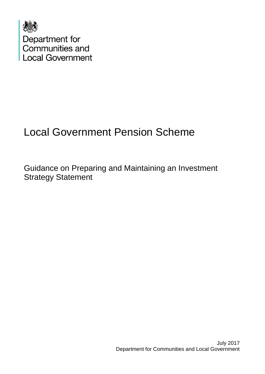

# Local Government Pension Scheme

Guidance on Preparing and Maintaining an Investment Strategy Statement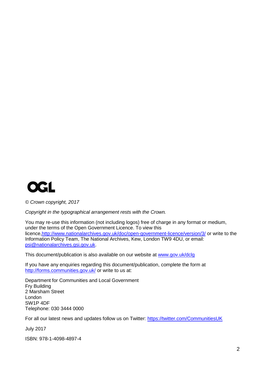

*© Crown copyright, 2017*

*Copyright in the typographical arrangement rests with the Crown.*

You may re-use this information (not including logos) free of charge in any format or medium, under the terms of the Open Government Licence. To view this licence[,http://www.nationalarchives.gov.uk/doc/open-government-licence/version/3/](http://www.nationalarchives.gov.uk/doc/open-government-licence/version/3/) or write to the Information Policy Team, The National Archives, Kew, London TW9 4DU, or email: [psi@nationalarchives.gsi.gov.uk.](mailto:psi@nationalarchives.gsi.gov.uk)

This document/publication is also available on our website at [www.gov.uk/dclg](http://www.gov.uk/dclg)

If you have any enquiries regarding this document/publication, complete the form at <http://forms.communities.gov.uk/> or write to us at:

Department for Communities and Local Government Fry Building 2 Marsham Street London SW1P 4DF Telephone: 030 3444 0000

For all our latest news and updates follow us on Twitter:<https://twitter.com/CommunitiesUK>

July 2017

ISBN: 978-1-4098-4897-4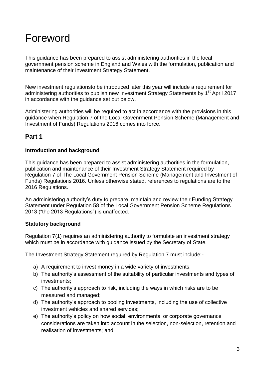## Foreword

This guidance has been prepared to assist administering authorities in the local government pension scheme in England and Wales with the formulation, publication and maintenance of their Investment Strategy Statement.

New investment regulationsto be introduced later this year will include a requirement for administering authorities to publish new Investment Strategy Statements by 1<sup>st</sup> April 2017 in accordance with the guidance set out below.

Administering authorities will be required to act in accordance with the provisions in this guidance when Regulation 7 of the Local Govenrment Pension Scheme (Management and Investment of Funds) Regulations 2016 comes into force.

## **Part 1**

#### **Introduction and background**

This guidance has been prepared to assist administering authorities in the formulation, publication and maintenance of their Investment Strategy Statement required by Regulation 7 of The Local Government Pension Scheme (Management and Investment of Funds) Regulations 2016. Unless otherwise stated, references to regulations are to the 2016 Regulations.

An administering authority's duty to prepare, maintain and review their Funding Strategy Statement under Regulation 58 of the Local Government Pension Scheme Regulations 2013 ("the 2013 Regulations") is unaffected.

#### **Statutory background**

Regulation 7(1) requires an administering authority to formulate an investment strategy which must be in accordance with guidance issued by the Secretary of State.

The Investment Strategy Statement required by Regulation 7 must include:-

- a) A requirement to invest money in a wide variety of investments;
- b) The authority's assessment of the suitability of particular investments and types of investments;
- c) The authority's approach to risk, including the ways in which risks are to be measured and managed;
- d) The authority's approach to pooling investments, including the use of collective investment vehicles and shared services;
- e) The authority's policy on how social, environmental or corporate governance considerations are taken into account in the selection, non-selection, retention and realisation of investments; and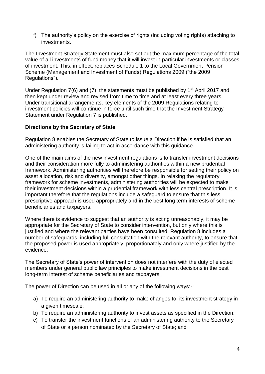f) The authority's policy on the exercise of rights (including voting rights) attaching to investments.

The Investment Strategy Statement must also set out the maximum percentage of the total value of all investments of fund money that it will invest in particular investments or classes of investment. This, in effect, replaces Schedule 1 to the Local Government Pension Scheme (Management and Investment of Funds) Regulations 2009 ("the 2009 Regulations").

Under Regulation  $7(6)$  and (7), the statements must be published by 1<sup>st</sup> April 2017 and then kept under review and revised from time to time and at least every three years. Under transitional arrangements, key elements of the 2009 Regulations relating to investment policies will continue in force until such time that the Investment Strategy Statement under Regulation 7 is published.

#### **Directions by the Secretary of State**

Regulation 8 enables the Secretary of State to issue a Direction if he is satisfied that an administering authority is failing to act in accordance with this guidance.

One of the main aims of the new investment regulations is to transfer investment decisions and their consideration more fully to administering authorities within a new prudential framework. Administering authorities will therefore be responsible for setting their policy on asset allocation, risk and diversity, amongst other things. In relaxing the regulatory framework for scheme investments, administering authorities will be expected to make their investment decisions within a prudential framework with less central prescription. It is important therefore that the regulations include a safeguard to ensure that this less prescriptive approach is used appropriately and in the best long term interests of scheme beneficiaries and taxpayers.

Where there is evidence to suggest that an authority is acting unreasonably, it may be appropriate for the Secretary of State to consider intervention, but only where this is justified and where the relevant parties have been consulted. Regulation 8 includes a number of safeguards, including full consultation with the relevant authority, to ensure that the proposed power is used appropriately, proportionately and only where justified by the evidence.

The Secretary of State's power of intervention does not interfere with the duty of elected members under general public law principles to make investment decisions in the best long-term interest of scheme beneficiaries and taxpayers.

The power of Direction can be used in all or any of the following ways:-

- a) To require an administering authority to make changes to its investment strategy in a given timescale;
- b) To require an administering authority to invest assets as specified in the Direction;
- c) To transfer the investment functions of an administering authority to the Secretary of State or a person nominated by the Secretary of State; and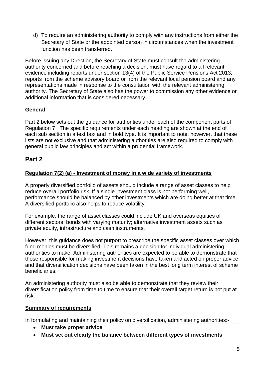d) To require an administering authority to comply with any instructions from either the Secretary of State or the appointed person in circumstances when the investment function has been transferred.

Before issuing any Direction, the Secretary of State must consult the administering authority concerned and before reaching a decision, must have regard to all relevant evidence including reports under section 13(4) of the Public Service Pensions Act 2013; reports from the scheme advisory board or from the relevant local pension board and any representations made in response to the consultation with the relevant administering authority. The Secretary of State also has the power to commission any other evidence or additional information that is considered necessary.

## **General**

Part 2 below sets out the guidance for authorities under each of the component parts of Regulation 7. The specific requirements under each heading are shown at the end of each sub section in a text box and in bold type. It is important to note, however, that these lists are not exclusive and that administering authorities are also required to comply with general public law principles and act within a prudential framework.

## **Part 2**

## **Regulation 7(2) (a) - Investment of money in a wide variety of investments**

A properly diversified portfolio of assets should include a range of asset classes to help reduce overall portfolio risk. If a single investment class is not performing well, performance should be balanced by other investments which are doing better at that time. A diversified portfolio also helps to reduce volatility.

For example, the range of asset classes could include UK and overseas equities of different sectors; bonds with varying maturity; alternative investment assets such as private equity, infrastructure and cash instruments.

However, this guidance does not purport to prescribe the specific asset classes over which fund monies must be diversified. This remains a decision for individual administering authorities to make. Administering authorities are expected to be able to demonstrate that those responsible for making investment decisions have taken and acted on proper advice and that diversification decisions have been taken in the best long term interest of scheme beneficiaries.

An administering authority must also be able to demonstrate that they review their diversification policy from time to time to ensure that their overall target return is not put at risk.

#### **Summary of requirements**

In formulating and maintaining their policy on diversification, administering authorities:-

- **Must take proper advice**
- **Must set out clearly the balance between different types of investments**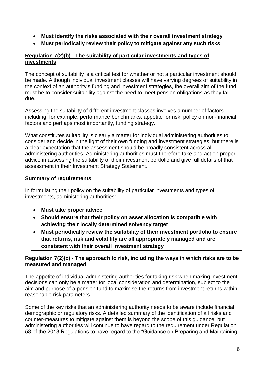- **Must identify the risks associated with their overall investment strategy**
- **Must periodically review their policy to mitigate against any such risks**

## **Regulation 7(2)(b) - The suitability of particular investments and types of investments**

The concept of suitability is a critical test for whether or not a particular investment should be made. Although individual investment classes will have varying degrees of suitability in the context of an authority's funding and investment strategies, the overall aim of the fund must be to consider suitability against the need to meet pension obligations as they fall due.

Assessing the suitability of different investment classes involves a number of factors including, for example, performance benchmarks, appetite for risk, policy on non-financial factors and perhaps most importantly, funding strategy.

What constitutes suitability is clearly a matter for individual administering authorities to consider and decide in the light of their own funding and investment strategies, but there is a clear expectation that the assessment should be broadly consistent across all administering authorities. Administering authorities must therefore take and act on proper advice in assessing the suitability of their investment portfolio and give full details of that assessment in their Investment Strategy Statement.

## **Summary of requirements**

In formulating their policy on the suitability of particular investments and types of investments, administering authorities:-

- **Must take proper advice**
- **Should ensure that their policy on asset allocation is compatible with achieving their locally determined solvency target**
- **Must periodically review the suitability of their investment portfolio to ensure that returns, risk and volatility are all appropriately managed and are consistent with their overall investment strategy**

## **Regulation 7(2)(c) - The approach to risk, including the ways in which risks are to be measured and managed**

The appetite of individual administering authorities for taking risk when making investment decisions can only be a matter for local consideration and determination, subject to the aim and purpose of a pension fund to maximise the returns from investment returns within reasonable risk parameters.

Some of the key risks that an administering authority needs to be aware include financial, demographic or regulatory risks. A detailed summary of the identification of all risks and counter-measures to mitigate against them is beyond the scope of this guidance, but administering authorities will continue to have regard to the requirement under Regulation 58 of the 2013 Regulations to have regard to the "Guidance on Preparing and Maintaining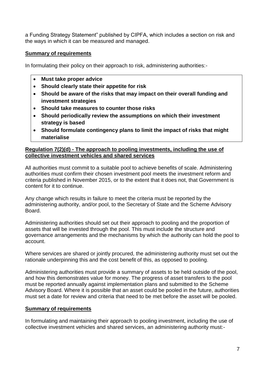a Funding Strategy Statement" published by CIPFA, which includes a section on risk and the ways in which it can be measured and managed.

#### **Summary of requirements**

In formulating their policy on their approach to risk, administering authorities:-

- **Must take proper advice**
- **Should clearly state their appetite for risk**
- **Should be aware of the risks that may impact on their overall funding and investment strategies**
- **Should take measures to counter those risks**
- **Should periodically review the assumptions on which their investment strategy is based**
- **Should formulate contingency plans to limit the impact of risks that might materialise**

#### **Regulation 7(2)(d) - The approach to pooling investments, including the use of collective investment vehicles and shared services**

All authorities must commit to a suitable pool to achieve benefits of scale. Administering authorities must confirm their chosen investment pool meets the investment reform and criteria published in November 2015, or to the extent that it does not, that Government is content for it to continue.

Any change which results in failure to meet the criteria must be reported by the administering authority, and/or pool, to the Secretary of State and the Scheme Advisory Board.

Administering authorities should set out their approach to pooling and the proportion of assets that will be invested through the pool. This must include the structure and governance arrangements and the mechanisms by which the authority can hold the pool to account.

Where services are shared or jointly procured, the administering authority must set out the rationale underpinning this and the cost benefit of this, as opposed to pooling.

Administering authorities must provide a summary of assets to be held outside of the pool, and how this demonstrates value for money. The progress of asset transfers to the pool must be reported annually against implementation plans and submitted to the Scheme Advisory Board. Where it is possible that an asset could be pooled in the future, authorities must set a date for review and criteria that need to be met before the asset will be pooled.

## **Summary of requirements**

In formulating and maintaining their approach to pooling investment, including the use of collective investment vehicles and shared services, an administering authority must:-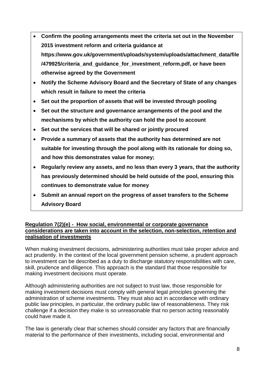- **Confirm the pooling arrangements meet the criteria set out in the November 2015 investment reform and criteria guidance at https://www.gov.uk/government/uploads/system/uploads/attachment\_data/file /479925/criteria\_and\_guidance\_for\_investment\_reform.pdf, or have been otherwise agreed by the Government**
- **Notify the Scheme Advisory Board and the Secretary of State of any changes which result in failure to meet the criteria**
- **Set out the proportion of assets that will be invested through pooling**
- **Set out the structure and governance arrangements of the pool and the mechanisms by which the authority can hold the pool to account**
- **Set out the services that will be shared or jointly procured**
- **Provide a summary of assets that the authority has determined are not suitable for investing through the pool along with its rationale for doing so, and how this demonstrates value for money;**
- **Regularly review any assets, and no less than every 3 years, that the authority has previously determined should be held outside of the pool, ensuring this continues to demonstrate value for money**
- **Submit an annual report on the progress of asset transfers to the Scheme Advisory Board**

#### **Regulation 7(2)(e) - How social, environmental or corporate governance considerations are taken into account in the selection, non-selection, retention and realisation of investments**

When making investment decisions, administering authorities must take proper advice and act prudently. In the context of the local government pension scheme, a prudent approach to investment can be described as a duty to discharge statutory responsibilities with care, skill, prudence and diligence. This approach is the standard that those responsible for making investment decisions must operate.

Although administering authorities are not subject to trust law, those responsible for making investment decisions must comply with general legal principles governing the administration of scheme investments. They must also act in accordance with ordinary public law principles, in particular, the ordinary public law of reasonableness. They risk challenge if a decision they make is so unreasonable that no person acting reasonably could have made it.

The law is generally clear that schemes should consider any factors that are financially material to the performance of their investments, including social, environmental and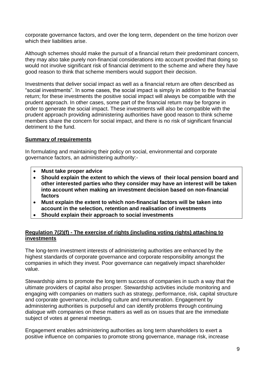corporate governance factors, and over the long term, dependent on the time horizon over which their liabilities arise.

Although schemes should make the pursuit of a financial return their predominant concern, they may also take purely non-financial considerations into account provided that doing so would not involve significant risk of financial detriment to the scheme and where they have good reason to think that scheme members would support their decision.

Investments that deliver social impact as well as a financial return are often described as "social investments". In some cases, the social impact is simply in addition to the financial return; for these investments the positive social impact will always be compatible with the prudent approach. In other cases, some part of the financial return may be forgone in order to generate the social impact. These investments will also be compatible with the prudent approach providing administering authorities have good reason to think scheme members share the concern for social impact, and there is no risk of significant financial detriment to the fund.

#### **Summary of requirements**

In formulating and maintaining their policy on social, environmental and corporate governance factors, an administering authority:-

- **Must take proper advice**
- **Should explain the extent to which the views of their local pension board and other interested parties who they consider may have an interest will be taken into account when making an investment decision based on non-financial factors**
- **Must explain the extent to which non-financial factors will be taken into account in the selection, retention and realisation of investments**
- **Should explain their approach to social investments**

#### **Regulation 7(2)(f) - The exercise of rights (including voting rights) attaching to investments**

The long-term investment interests of administering authorities are enhanced by the highest standards of corporate governance and corporate responsibility amongst the companies in which they invest. Poor governance can negatively impact shareholder value.

Stewardship aims to promote the long term success of companies in such a way that the ultimate providers of capital also prosper. Stewardship activities include monitoring and engaging with companies on matters such as strategy, performance, risk, capital structure and corporate governance, including culture and remuneration. Engagement by administering authorities is purposeful and can identify problems through continuing dialogue with companies on these matters as well as on issues that are the immediate subject of votes at general meetings.

Engagement enables administering authorities as long term shareholders to exert a positive influence on companies to promote strong governance, manage risk, increase